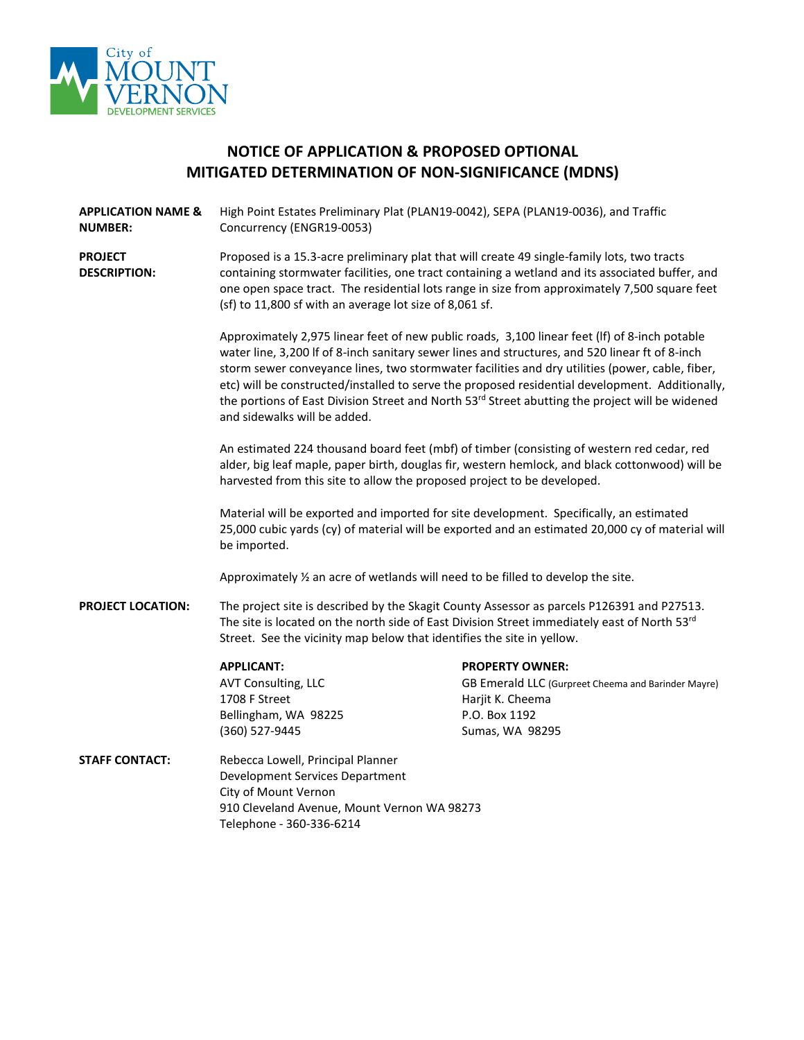

# **NOTICE OF APPLICATION & PROPOSED OPTIONAL MITIGATED DETERMINATION OF NON-SIGNIFICANCE (MDNS)**

- **APPLICATION NAME & NUMBER:** High Point Estates Preliminary Plat (PLAN19-0042), SEPA (PLAN19-0036), and Traffic Concurrency (ENGR19-0053)
- **PROJECT DESCRIPTION:** Proposed is a 15.3-acre preliminary plat that will create 49 single-family lots, two tracts containing stormwater facilities, one tract containing a wetland and its associated buffer, and one open space tract. The residential lots range in size from approximately 7,500 square feet (sf) to 11,800 sf with an average lot size of 8,061 sf.

Approximately 2,975 linear feet of new public roads, 3,100 linear feet (lf) of 8-inch potable water line, 3,200 lf of 8-inch sanitary sewer lines and structures, and 520 linear ft of 8-inch storm sewer conveyance lines, two stormwater facilities and dry utilities (power, cable, fiber, etc) will be constructed/installed to serve the proposed residential development. Additionally, the portions of East Division Street and North 53<sup>rd</sup> Street abutting the project will be widened and sidewalks will be added.

An estimated 224 thousand board feet (mbf) of timber (consisting of western red cedar, red alder, big leaf maple, paper birth, douglas fir, western hemlock, and black cottonwood) will be harvested from this site to allow the proposed project to be developed.

Material will be exported and imported for site development. Specifically, an estimated 25,000 cubic yards (cy) of material will be exported and an estimated 20,000 cy of material will be imported.

Approximately ½ an acre of wetlands will need to be filled to develop the site.

**PROJECT LOCATION:** The project site is described by the Skagit County Assessor as parcels P126391 and P27513. The site is located on the north side of East Division Street immediately east of North 53rd Street. See the vicinity map below that identifies the site in yellow.

1708 F Street Harjit K. Cheema Bellingham, WA 98225 P.O. Box 1192 (360) 527-9445 Sumas, WA 98295

#### **APPLICANT: PROPERTY OWNER:**

AVT Consulting, LLC **GB Emerald LLC (Gurpreet Cheema and Barinder Mayre)** 

**STAFF CONTACT:** Rebecca Lowell, Principal Planner Development Services Department City of Mount Vernon 910 Cleveland Avenue, Mount Vernon WA 98273 Telephone - 360-336-6214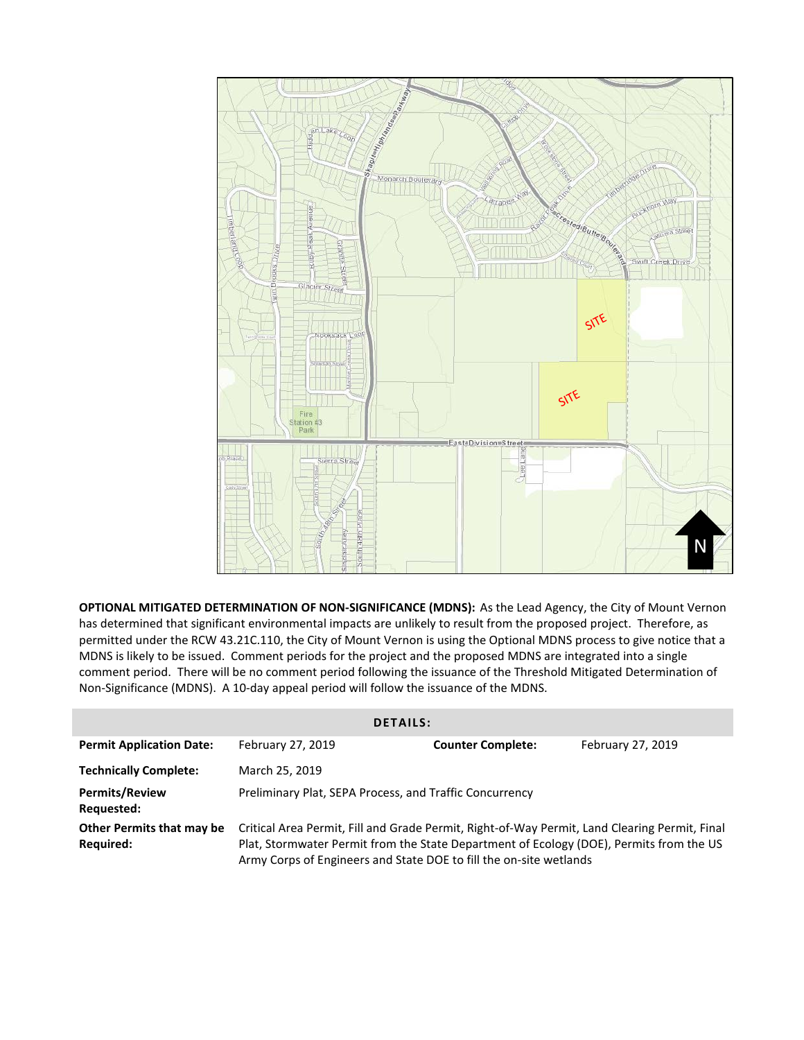

**OPTIONAL MITIGATED DETERMINATION OF NON-SIGNIFICANCE (MDNS):** As the Lead Agency, the City of Mount Vernon has determined that significant environmental impacts are unlikely to result from the proposed project. Therefore, as permitted under the RCW 43.21C.110, the City of Mount Vernon is using the Optional MDNS process to give notice that a MDNS is likely to be issued. Comment periods for the project and the proposed MDNS are integrated into a single comment period. There will be no comment period following the issuance of the Threshold Mitigated Determination of Non-Significance (MDNS). A 10-day appeal period will follow the issuance of the MDNS.

| <b>DETAILS:</b>                                      |                                                                                                                                                                                                                                                                |                          |                   |  |
|------------------------------------------------------|----------------------------------------------------------------------------------------------------------------------------------------------------------------------------------------------------------------------------------------------------------------|--------------------------|-------------------|--|
| <b>Permit Application Date:</b>                      | February 27, 2019                                                                                                                                                                                                                                              | <b>Counter Complete:</b> | February 27, 2019 |  |
| <b>Technically Complete:</b>                         | March 25, 2019                                                                                                                                                                                                                                                 |                          |                   |  |
| <b>Permits/Review</b><br>Requested:                  | Preliminary Plat, SEPA Process, and Traffic Concurrency                                                                                                                                                                                                        |                          |                   |  |
| <b>Other Permits that may be</b><br><b>Required:</b> | Critical Area Permit, Fill and Grade Permit, Right-of-Way Permit, Land Clearing Permit, Final<br>Plat, Stormwater Permit from the State Department of Ecology (DOE), Permits from the US<br>Army Corps of Engineers and State DOE to fill the on-site wetlands |                          |                   |  |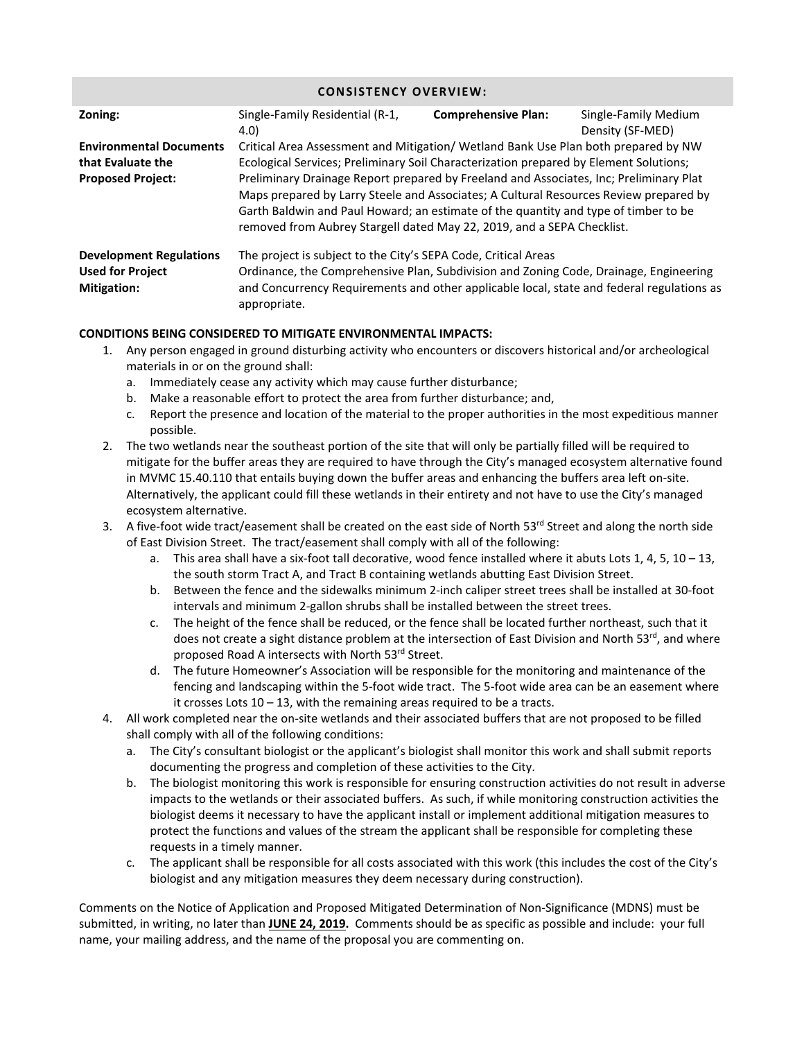### **CONSISTENCY OVERVIEW:**

| Zoning:                                                                         | Single-Family Residential (R-1,<br>4.0)                                                                                                                                                                                                                                                                                                                                                                                                                                                                                         | <b>Comprehensive Plan:</b> | Single-Family Medium<br>Density (SF-MED) |
|---------------------------------------------------------------------------------|---------------------------------------------------------------------------------------------------------------------------------------------------------------------------------------------------------------------------------------------------------------------------------------------------------------------------------------------------------------------------------------------------------------------------------------------------------------------------------------------------------------------------------|----------------------------|------------------------------------------|
| <b>Environmental Documents</b><br>that Evaluate the<br><b>Proposed Project:</b> | Critical Area Assessment and Mitigation/ Wetland Bank Use Plan both prepared by NW<br>Ecological Services; Preliminary Soil Characterization prepared by Element Solutions;<br>Preliminary Drainage Report prepared by Freeland and Associates, Inc; Preliminary Plat<br>Maps prepared by Larry Steele and Associates; A Cultural Resources Review prepared by<br>Garth Baldwin and Paul Howard; an estimate of the quantity and type of timber to be<br>removed from Aubrey Stargell dated May 22, 2019, and a SEPA Checklist. |                            |                                          |
| <b>Development Regulations</b><br><b>Used for Project</b><br><b>Mitigation:</b> | The project is subject to the City's SEPA Code, Critical Areas<br>Ordinance, the Comprehensive Plan, Subdivision and Zoning Code, Drainage, Engineering<br>and Concurrency Requirements and other applicable local, state and federal regulations as<br>appropriate.                                                                                                                                                                                                                                                            |                            |                                          |

## **CONDITIONS BEING CONSIDERED TO MITIGATE ENVIRONMENTAL IMPACTS:**

- 1. Any person engaged in ground disturbing activity who encounters or discovers historical and/or archeological materials in or on the ground shall:
	- a. Immediately cease any activity which may cause further disturbance;
	- b. Make a reasonable effort to protect the area from further disturbance; and,
	- c. Report the presence and location of the material to the proper authorities in the most expeditious manner possible.
- 2. The two wetlands near the southeast portion of the site that will only be partially filled will be required to mitigate for the buffer areas they are required to have through the City's managed ecosystem alternative found in MVMC 15.40.110 that entails buying down the buffer areas and enhancing the buffers area left on-site. Alternatively, the applicant could fill these wetlands in their entirety and not have to use the City's managed ecosystem alternative.
- 3. A five-foot wide tract/easement shall be created on the east side of North 53<sup>rd</sup> Street and along the north side of East Division Street. The tract/easement shall comply with all of the following:
	- a. This area shall have a six-foot tall decorative, wood fence installed where it abuts Lots 1, 4, 5,  $10 13$ , the south storm Tract A, and Tract B containing wetlands abutting East Division Street.
	- b. Between the fence and the sidewalks minimum 2-inch caliper street trees shall be installed at 30-foot intervals and minimum 2-gallon shrubs shall be installed between the street trees.
	- c. The height of the fence shall be reduced, or the fence shall be located further northeast, such that it does not create a sight distance problem at the intersection of East Division and North 53<sup>rd</sup>, and where proposed Road A intersects with North 53rd Street.
	- d. The future Homeowner's Association will be responsible for the monitoring and maintenance of the fencing and landscaping within the 5-foot wide tract. The 5-foot wide area can be an easement where it crosses Lots 10 – 13, with the remaining areas required to be a tracts.
- 4. All work completed near the on-site wetlands and their associated buffers that are not proposed to be filled shall comply with all of the following conditions:
	- a. The City's consultant biologist or the applicant's biologist shall monitor this work and shall submit reports documenting the progress and completion of these activities to the City.
	- b. The biologist monitoring this work is responsible for ensuring construction activities do not result in adverse impacts to the wetlands or their associated buffers. As such, if while monitoring construction activities the biologist deems it necessary to have the applicant install or implement additional mitigation measures to protect the functions and values of the stream the applicant shall be responsible for completing these requests in a timely manner.
	- c. The applicant shall be responsible for all costs associated with this work (this includes the cost of the City's biologist and any mitigation measures they deem necessary during construction).

Comments on the Notice of Application and Proposed Mitigated Determination of Non-Significance (MDNS) must be submitted, in writing, no later than **JUNE 24, 2019.** Comments should be as specific as possible and include: your full name, your mailing address, and the name of the proposal you are commenting on.